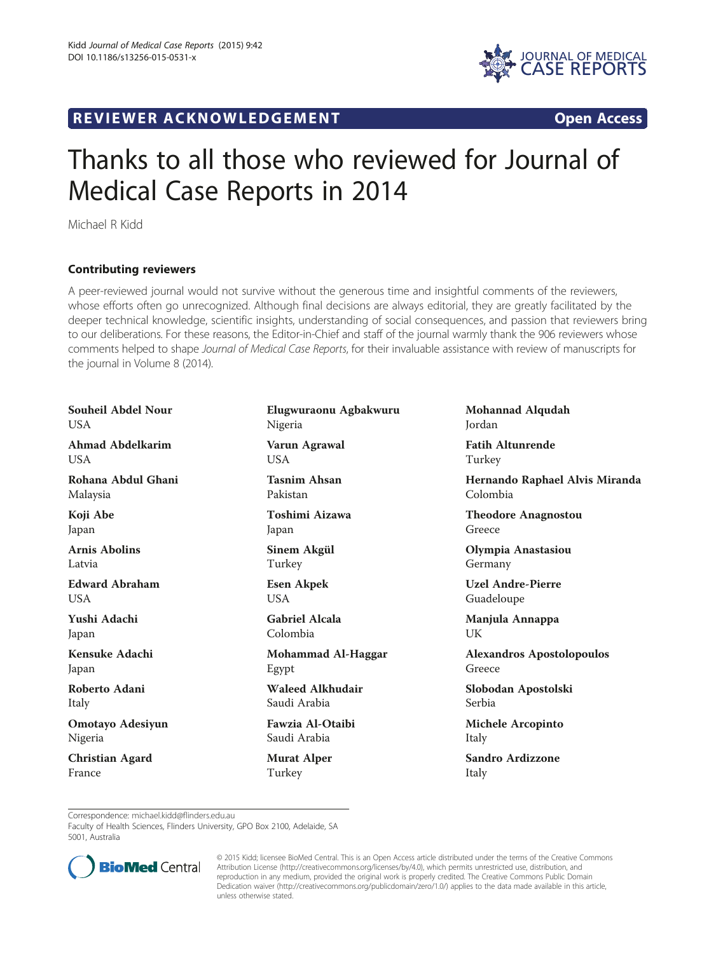R EVI EW E R ACKNOW L EDG EM EN T Open Access



## Thanks to all those who reviewed for Journal of Medical Case Reports in 2014

Michael R Kidd

## Contributing reviewers

A peer-reviewed journal would not survive without the generous time and insightful comments of the reviewers, whose efforts often go unrecognized. Although final decisions are always editorial, they are greatly facilitated by the deeper technical knowledge, scientific insights, understanding of social consequences, and passion that reviewers bring to our deliberations. For these reasons, the Editor-in-Chief and staff of the journal warmly thank the 906 reviewers whose comments helped to shape Journal of Medical Case Reports, for their invaluable assistance with review of manuscripts for the journal in Volume 8 (2014).

Souheil Abdel Nour **USA** Ahmad Abdelkarim USA Rohana Abdul Ghani Malaysia Koji Abe Japan Arnis Abolins Latvia Edward Abraham USA Yushi Adachi Japan Kensuke Adachi Japan Roberto Adani Italy Omotayo Adesiyun Nigeria Christian Agard France

Elugwuraonu Agbakwuru Nigeria Varun Agrawal USA Tasnim Ahsan Pakistan Toshimi Aizawa Japan Sinem Akgül Turkey Esen Akpek USA Gabriel Alcala Colombia Mohammad Al-Haggar Egypt Waleed Alkhudair Saudi Arabia Fawzia Al-Otaibi Saudi Arabia Murat Alper

Turkey

Mohannad Alqudah Jordan

Fatih Altunrende Turkey

Hernando Raphael Alvis Miranda Colombia

Theodore Anagnostou Greece

Olympia Anastasiou Germany

Uzel Andre-Pierre Guadeloupe

Manjula Annappa UK

Alexandros Apostolopoulos Greece

Slobodan Apostolski Serbia

Michele Arcopinto Italy

Sandro Ardizzone Italy

Correspondence: [michael.kidd@flinders.edu.au](mailto:michael.kidd@flinders.edu.au)

Faculty of Health Sciences, Flinders University, GPO Box 2100, Adelaide, SA 5001, Australia



© 2015 Kidd; licensee BioMed Central. This is an Open Access article distributed under the terms of the Creative Commons Attribution License (<http://creativecommons.org/licenses/by/4.0>), which permits unrestricted use, distribution, and reproduction in any medium, provided the original work is properly credited. The Creative Commons Public Domain Dedication waiver [\(http://creativecommons.org/publicdomain/zero/1.0/](http://creativecommons.org/publicdomain/zero/1.0/)) applies to the data made available in this article, unless otherwise stated.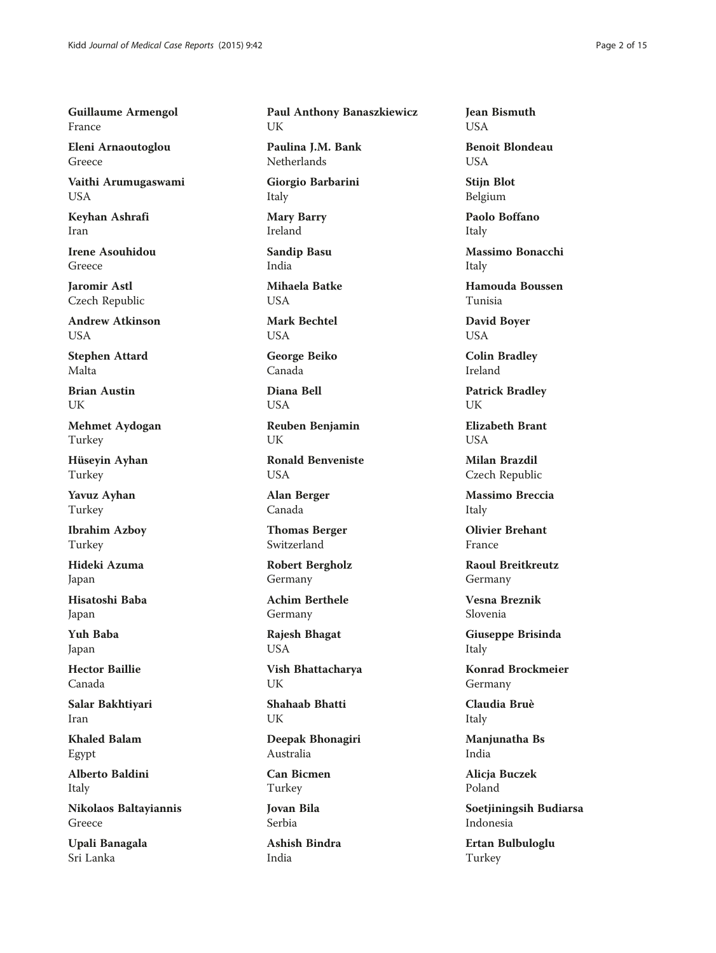Guillaume Armengol France

Eleni Arnaoutoglou Greece

Vaithi Arumugaswami USA

Keyhan Ashrafi Iran

Irene Asouhidou Greece

Jaromir Astl Czech Republic

Andrew Atkinson **I** IS A

Stephen Attard Malta

Brian Austin UK

Mehmet Aydogan Turkey

Hüseyin Ayhan Turkey

Yavuz Ayhan Turkey

Ibrahim Azboy Turkey

Hideki Azuma Japan

Hisatoshi Baba Japan

Yuh Baba Japan

Hector Baillie Canada

Salar Bakhtiyari Iran

Khaled Balam Egypt

Alberto Baldini Italy

Nikolaos Baltayiannis Greece

Upali Banagala Sri Lanka

Paul Anthony Banaszkiewicz UK

Paulina J.M. Bank Netherlands

Giorgio Barbarini Italy

Mary Barry Ireland

Sandip Basu India

Mihaela Batke **USA** 

Mark Bechtel **USA** 

George Beiko Canada

Diana Bell USA

Reuben Benjamin UK

Ronald Benveniste USA

Alan Berger Canada

Thomas Berger Switzerland

Robert Bergholz Germany

Achim Berthele Germany

Rajesh Bhagat USA

Vish Bhattacharya UK

Shahaab Bhatti UK

Deepak Bhonagiri Australia

Can Bicmen Turkey

Jovan Bila Serbia

Ashish Bindra India

Jean Bismuth USA

Benoit Blondeau USA

Stijn Blot Belgium

Paolo Boffano Italy

Massimo Bonacchi Italy

Hamouda Boussen Tunisia

David Boyer USA

Colin Bradley Ireland

Patrick Bradley UK

Elizabeth Brant **USA** 

Milan Brazdil Czech Republic

Massimo Breccia Italy

Olivier Brehant France

Raoul Breitkreutz Germany

Vesna Breznik Slovenia

Giuseppe Brisinda Italy

Konrad Brockmeier Germany

Claudia Bruè Italy

Manjunatha Bs India

Alicja Buczek Poland

Soetjiningsih Budiarsa Indonesia

Ertan Bulbuloglu Turkey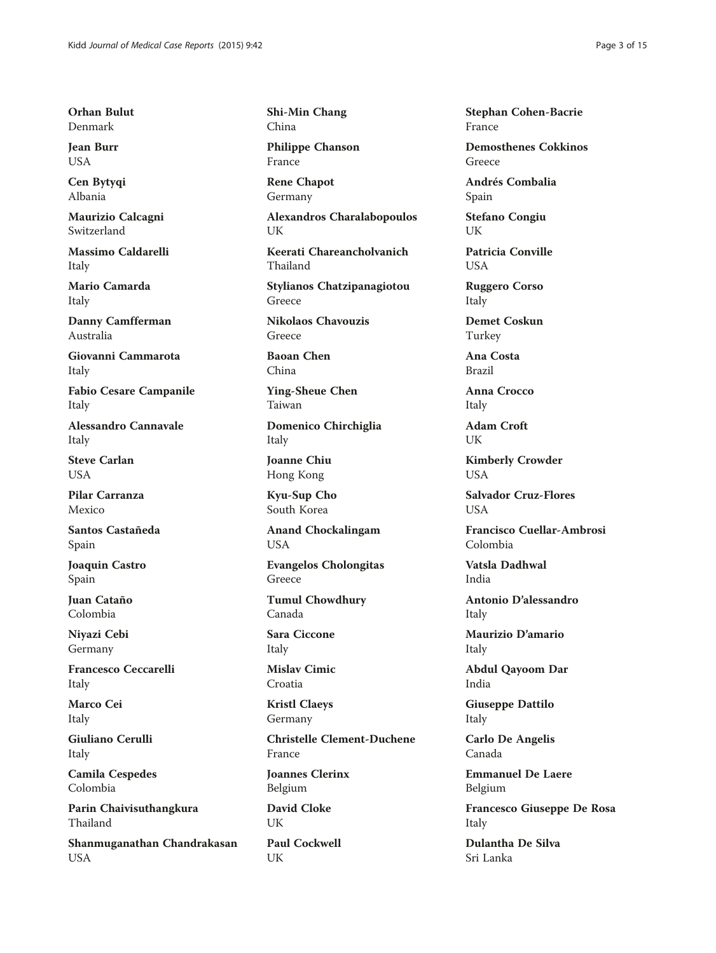Orhan Bulut Denmark

Jean Burr USA

Cen Bytyqi Albania

Maurizio Calcagni Switzerland

Massimo Caldarelli Italy

Mario Camarda Italy

Danny Camfferman Australia

Giovanni Cammarota Italy

Fabio Cesare Campanile Italy

Alessandro Cannavale Italy

Steve Carlan **USA** 

Pilar Carranza Mexico

Santos Castañeda Spain

Joaquin Castro Spain

Juan Cataño Colombia

Niyazi Cebi Germany

Francesco Ceccarelli Italy

Marco Cei Italy

Giuliano Cerulli Italy

Camila Cespedes Colombia

Parin Chaivisuthangkura Thailand

Shanmuganathan Chandrakasan USA

Shi-Min Chang China

Philippe Chanson France

Rene Chapot Germany

Alexandros Charalabopoulos UK

Keerati Chareancholvanich Thailand

Stylianos Chatzipanagiotou Greece

Nikolaos Chavouzis Greece

Baoan Chen China

Ying-Sheue Chen Taiwan

Domenico Chirchiglia Italy

Joanne Chiu Hong Kong

Kyu-Sup Cho South Korea

Anand Chockalingam USA

Evangelos Cholongitas Greece

Tumul Chowdhury Canada

Sara Ciccone Italy

Mislav Cimic Croatia

Kristl Claeys Germany

Christelle Clement-Duchene France

Joannes Clerinx Belgium

David Cloke UK

Paul Cockwell UK

Stephan Cohen-Bacrie France

Demosthenes Cokkinos Greece

Andrés Combalia Spain

Stefano Congiu UK

Patricia Conville **I** ISA

Ruggero Corso Italy

Demet Coskun Turkey

Ana Costa Brazil

Anna Crocco Italy

Adam Croft UK

Kimberly Crowder **USA** 

Salvador Cruz-Flores **USA** 

Francisco Cuellar-Ambrosi Colombia

Vatsla Dadhwal India

Antonio D'alessandro Italy

Maurizio D'amario Italy

Abdul Qayoom Dar India

Giuseppe Dattilo Italy

Carlo De Angelis Canada

Emmanuel De Laere Belgium

Francesco Giuseppe De Rosa Italy

Dulantha De Silva Sri Lanka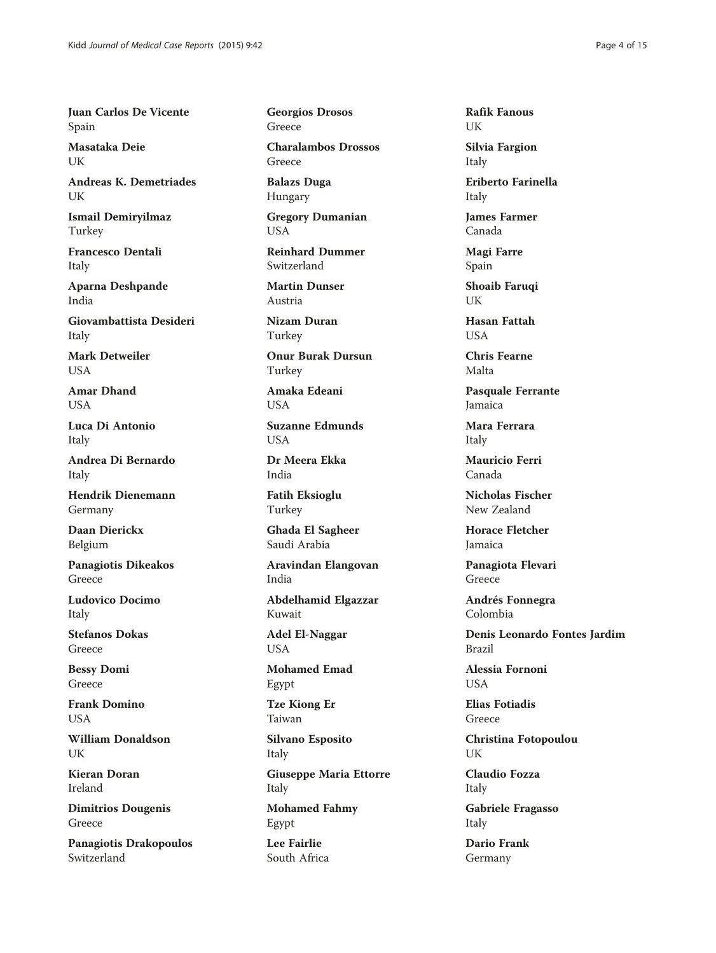Juan Carlos De Vicente Spain

Masataka Deie **I** IK

Andreas K. Demetriades UK

Ismail Demiryilmaz Turkey

Francesco Dentali Italy

Aparna Deshpande India

Giovambattista Desideri Italy

Mark Detweiler **USA** 

Amar Dhand **USA** 

Luca Di Antonio Italy

Andrea Di Bernardo Italy

Hendrik Dienemann Germany

Daan Dierickx Belgium

Panagiotis Dikeakos Greece

Ludovico Docimo Italy

Stefanos Dokas Greece

Bessy Domi Greece

Frank Domino USA

William Donaldson UK

Kieran Doran Ireland

Dimitrios Dougenis Greece

Panagiotis Drakopoulos Switzerland

Georgios Drosos Greece

Charalambos Drossos Greece

Balazs Duga Hungary

Gregory Dumanian USA

Reinhard Dummer Switzerland

Martin Dunser Austria

Nizam Duran Turkey

Onur Burak Dursun Turkey

Amaka Edeani USA

Suzanne Edmunds **USA** 

Dr Meera Ekka India

Fatih Eksioglu Turkey

Ghada El Sagheer Saudi Arabia

Aravindan Elangovan India

Abdelhamid Elgazzar Kuwait

Adel El-Naggar USA

Mohamed Emad Egypt

Tze Kiong Er Taiwan

Silvano Esposito Italy

Giuseppe Maria Ettorre Italy

Mohamed Fahmy Egypt

Lee Fairlie South Africa Rafik Fanous UK

Silvia Fargion Italy

Eriberto Farinella Italy

James Farmer Canada

Magi Farre Spain

Shoaib Faruqi UK

Hasan Fattah **I** IS A

Chris Fearne Malta

Pasquale Ferrante Jamaica

Mara Ferrara Italy

Mauricio Ferri Canada

Nicholas Fischer New Zealand

Horace Fletcher Jamaica

Panagiota Flevari Greece

Andrés Fonnegra Colombia

Denis Leonardo Fontes Jardim Brazil

Alessia Fornoni **USA** 

Elias Fotiadis Greece

Christina Fotopoulou UK

Claudio Fozza Italy

Gabriele Fragasso Italy

Dario Frank Germany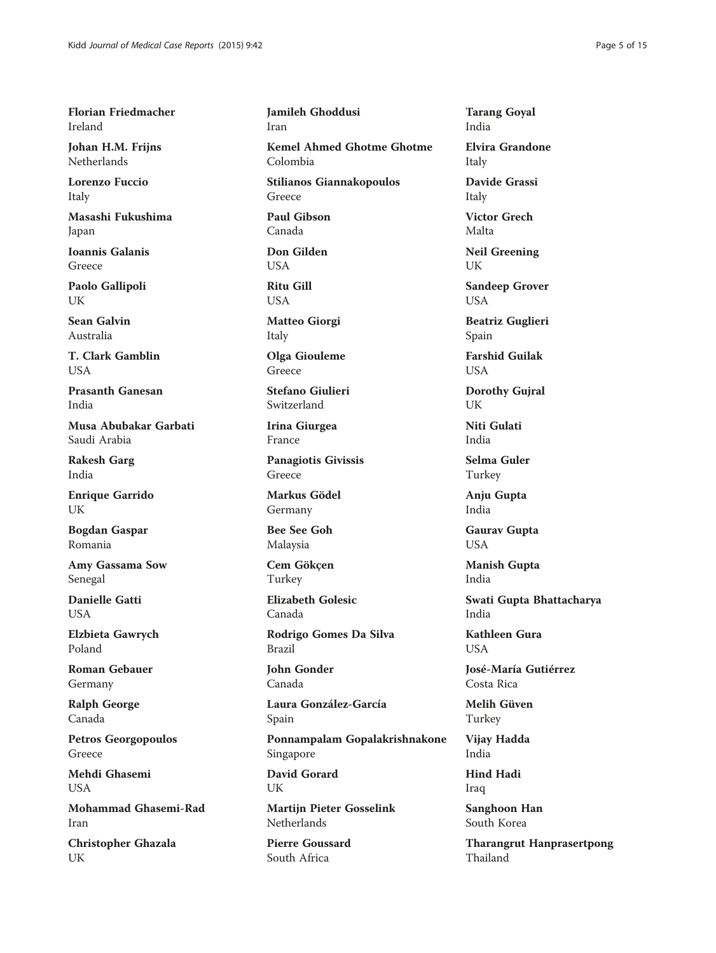Florian Friedmacher Ireland

Johan H.M. Frijns Netherlands

Lorenzo Fuccio Italy

Masashi Fukushima Japan

Ioannis Galanis Greece

Paolo Gallipoli UK

Sean Galvin Australia

T. Clark Gamblin USA

Prasanth Ganesan India

Musa Abubakar Garbati Saudi Arabia

Rakesh Garg India

Enrique Garrido UK

Bogdan Gaspar Romania

Amy Gassama Sow Senegal

Danielle Gatti **USA** 

Elzbieta Gawrych Poland

Roman Gebauer Germany

Ralph George Canada

Petros Georgopoulos Greece

Mehdi Ghasemi USA

Mohammad Ghasemi-Rad Iran

Christopher Ghazala UK

Jamileh Ghoddusi Iran

Kemel Ahmed Ghotme Ghotme Colombia

Stilianos Giannakopoulos Greece

Paul Gibson Canada

Don Gilden USA

Ritu Gill USA

Matteo Giorgi Italy

Olga Giouleme Greece

Stefano Giulieri Switzerland

Irina Giurgea France

Panagiotis Givissis Greece

Markus Gödel Germany

Bee See Goh Malaysia

Cem Gökçen Turkey

Elizabeth Golesic Canada

Rodrigo Gomes Da Silva Brazil

John Gonder Canada

Laura González-García Spain

Ponnampalam Gopalakrishnakone Singapore

David Gorard **I** IK

Martijn Pieter Gosselink Netherlands

Pierre Goussard South Africa

Tarang Goyal India

Elvira Grandone Italy

Davide Grassi Italy

Victor Grech Malta

Neil Greening UK

Sandeep Grover USA

Beatriz Guglieri Spain

Farshid Guilak USA

Dorothy Gujral UK

Niti Gulati India

Selma Guler Turkey

Anju Gupta India

Gaurav Gupta USA

Manish Gupta India

Swati Gupta Bhattacharya India

Kathleen Gura **I** IS A

José-María Gutiérrez Costa Rica

Melih Güven Turkey

Vijay Hadda India

Hind Hadi Iraq

Sanghoon Han South Korea

Tharangrut Hanprasertpong Thailand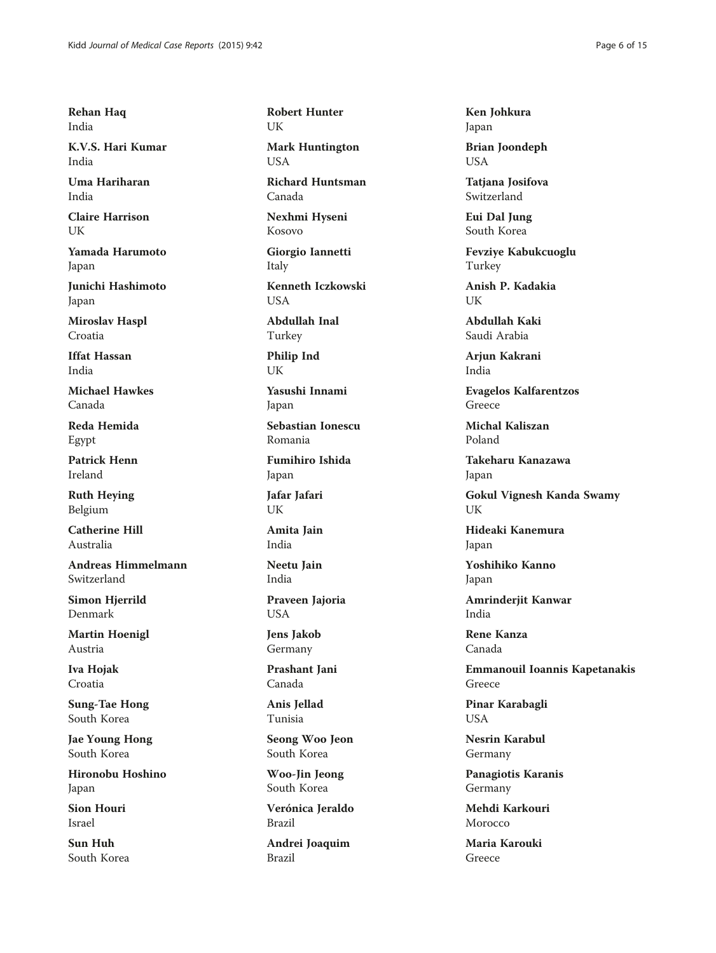Rehan Haq India

K.V.S. Hari Kumar India

Uma Hariharan India

Claire Harrison UK

Yamada Harumoto Japan

Junichi Hashimoto Japan

Miroslav Haspl Croatia

Iffat Hassan India

Michael Hawkes Canada

Reda Hemida Egypt

Patrick Henn Ireland

Ruth Heying Belgium

Catherine Hill Australia

Andreas Himmelmann Switzerland

Simon Hjerrild Denmark

Martin Hoenigl Austria

Iva Hojak Croatia

Sung-Tae Hong South Korea

Jae Young Hong South Korea

Hironobu Hoshino Japan

Sion Houri Israel

Sun Huh South Korea Robert Hunter UK

Mark Huntington USA

Richard Huntsman Canada

Nexhmi Hyseni Kosovo

Giorgio Iannetti Italy

Kenneth Iczkowski **USA** 

Abdullah Inal Turkey

Philip Ind UK

Yasushi Innami Japan

Sebastian Ionescu Romania

Fumihiro Ishida Japan

Jafar Jafari UK

Amita Jain India

Neetu Jain India

Praveen Jajoria USA

Jens Jakob Germany

Prashant Jani Canada

Anis Jellad Tunisia

Seong Woo Jeon South Korea

Woo-Jin Jeong South Korea

Verónica Jeraldo Brazil

Andrei Joaquim Brazil

Ken Johkura Japan

Brian Joondeph USA

Tatiana Josifova Switzerland

Eui Dal Jung South Korea

Fevziye Kabukcuoglu Turkey

Anish P. Kadakia UK

Abdullah Kaki Saudi Arabia

Arjun Kakrani India

Evagelos Kalfarentzos Greece

Michal Kaliszan Poland

Takeharu Kanazawa Japan

Gokul Vignesh Kanda Swamy UK

Hideaki Kanemura Japan

Yoshihiko Kanno Japan

Amrinderjit Kanwar India

Rene Kanza Canada

Emmanouil Ioannis Kapetanakis Greece

Pinar Karabagli USA

Nesrin Karabul Germany

Panagiotis Karanis Germany

Mehdi Karkouri Morocco

Maria Karouki Greece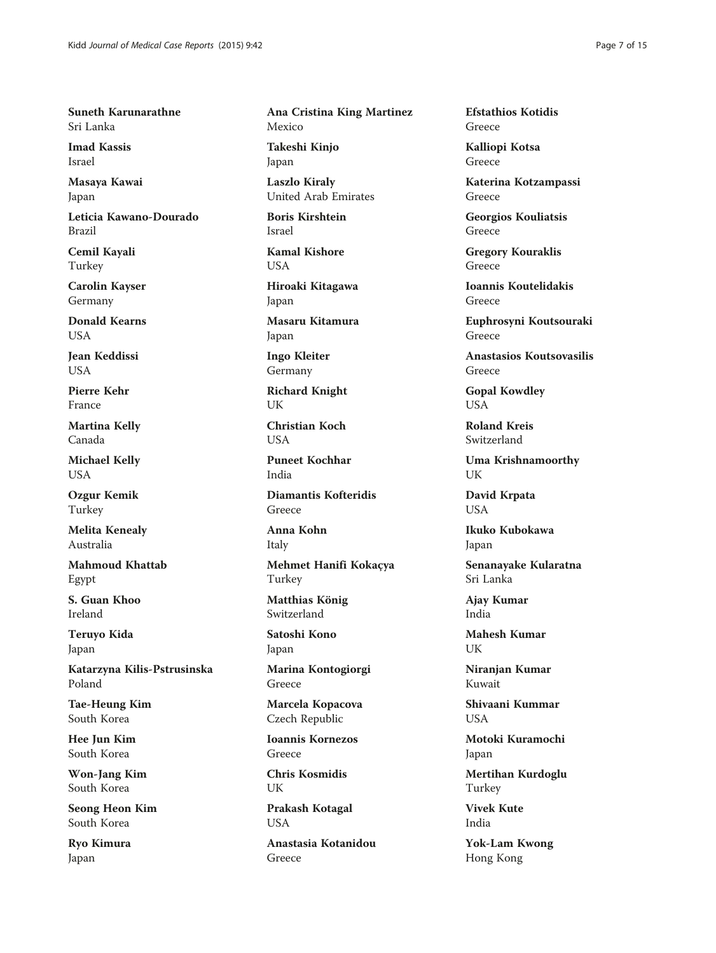Suneth Karunarathne Sri Lanka

Imad Kassis Israel

Masaya Kawai Japan

Leticia Kawano-Dourado Brazil

Cemil Kayali Turkey

Carolin Kayser Germany

Donald Kearns **I** IS A

Jean Keddissi USA

Pierre Kehr France

Martina Kelly Canada

Michael Kelly USA

Ozgur Kemik Turkey

Melita Kenealy Australia

Mahmoud Khattab Egypt

S. Guan Khoo Ireland

Teruyo Kida Japan

Katarzyna Kilis-Pstrusinska Poland

Tae-Heung Kim South Korea

Hee Jun Kim South Korea

Won-Jang Kim South Korea

Seong Heon Kim South Korea

Ryo Kimura Japan

Ana Cristina King Martinez Mexico

Takeshi Kinjo Japan

Laszlo Kiraly United Arab Emirates

Boris Kirshtein Israel

Kamal Kishore USA

Hiroaki Kitagawa Japan

Masaru Kitamura Japan

Ingo Kleiter Germany

Richard Knight UK

Christian Koch **USA** 

Puneet Kochhar India

Diamantis Kofteridis Greece

Anna Kohn Italy

Mehmet Hanifi Kokaçya Turkey

Matthias König Switzerland

Satoshi Kono Japan

Marina Kontogiorgi Greece

Marcela Kopacova Czech Republic

Ioannis Kornezos Greece

Chris Kosmidis UK

Prakash Kotagal USA

Anastasia Kotanidou Greece

Efstathios Kotidis Greece

Kalliopi Kotsa Greece

Katerina Kotzampassi Greece

Georgios Kouliatsis Greece

Gregory Kouraklis Greece

Ioannis Koutelidakis Greece

Euphrosyni Koutsouraki Greece

Anastasios Koutsovasilis Greece

Gopal Kowdley USA

Roland Kreis Switzerland

Uma Krishnamoorthy UK

David Krpata USA

Ikuko Kubokawa Japan

Senanayake Kularatna Sri Lanka

Ajay Kumar India

Mahesh Kumar UK

Niranjan Kumar Kuwait

Shivaani Kummar **USA** 

Motoki Kuramochi Japan

Mertihan Kurdoglu Turkey

Vivek Kute India

Yok-Lam Kwong Hong Kong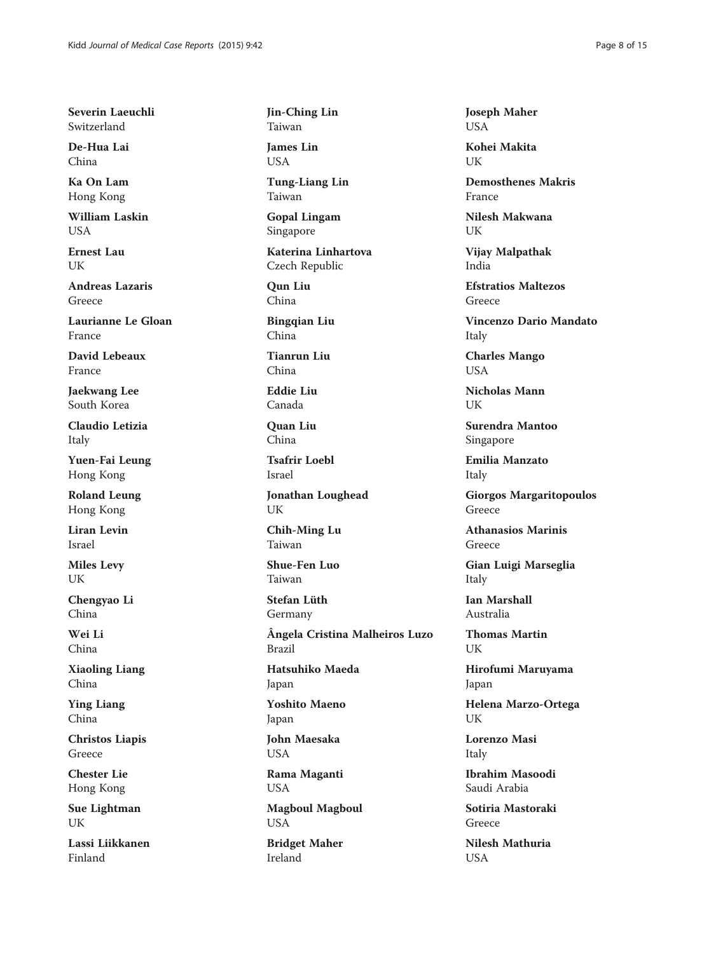Severin Laeuchli Switzerland

De-Hua Lai China

Ka On Lam Hong Kong

William Laskin USA

Ernest Lau UK

Andreas Lazaris Greece

Laurianne Le Gloan France

David Lebeaux France

Jaekwang Lee South Korea

Claudio Letizia Italy

Yuen-Fai Leung Hong Kong

Roland Leung Hong Kong

Liran Levin Israel

Miles Levy UK

Chengyao Li China

Wei Li China

Xiaoling Liang China

Ying Liang China

Christos Liapis Greece

Chester Lie Hong Kong

Sue Lightman **I** IK

Lassi Liikkanen Finland

Jin-Ching Lin Taiwan

James Lin USA

Tung-Liang Lin Taiwan

Gopal Lingam Singapore

Katerina Linhartova Czech Republic

Qun Liu China

Bingqian Liu China

Tianrun Liu China

Eddie Liu Canada

Quan Liu China

Tsafrir Loebl Israel

Jonathan Loughead UK

Chih-Ming Lu Taiwan

Shue-Fen Luo Taiwan

Stefan Lüth Germany

Ângela Cristina Malheiros Luzo Brazil

Hatsuhiko Maeda Japan

Yoshito Maeno Japan

John Maesaka USA

Rama Maganti USA

Magboul Magboul USA

Bridget Maher Ireland

Joseph Maher USA

Kohei Makita **I**IK

Demosthenes Makris France

Nilesh Makwana UK

Vijay Malpathak India

Efstratios Maltezos Greece

Vincenzo Dario Mandato Italy

Charles Mango USA

Nicholas Mann I IK

Surendra Mantoo Singapore

Emilia Manzato Italy

Giorgos Margaritopoulos Greece

Athanasios Marinis Greece

Gian Luigi Marseglia Italy

Ian Marshall Australia

Thomas Martin UK

Hirofumi Maruyama Japan

Helena Marzo-Ortega UK

Lorenzo Masi Italy

Ibrahim Masoodi Saudi Arabia

Sotiria Mastoraki Greece

Nilesh Mathuria USA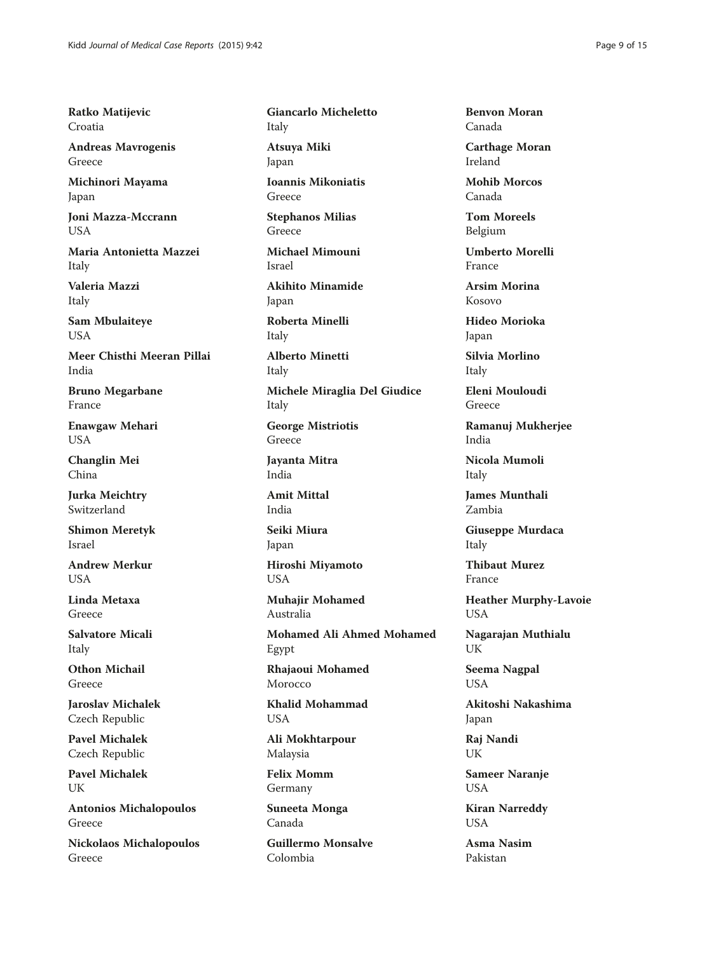Ratko Matijevic Croatia

Andreas Mavrogenis Greece

Michinori Mayama Japan

Joni Mazza-Mccrann USA

Maria Antonietta Mazzei Italy

Valeria Mazzi Italy

Sam Mbulaiteye USA

Meer Chisthi Meeran Pillai India

Bruno Megarbane France

Enawgaw Mehari USA

Changlin Mei China

Jurka Meichtry Switzerland

Shimon Meretyk Israel

Andrew Merkur **USA** 

Linda Metaxa Greece

Salvatore Micali Italy

Othon Michail Greece

Jaroslav Michalek Czech Republic

Pavel Michalek Czech Republic

Pavel Michalek UK

Antonios Michalopoulos Greece

Nickolaos Michalopoulos Greece

Giancarlo Micheletto Italy

Atsuya Miki Japan

Ioannis Mikoniatis Greece

Stephanos Milias Greece

Michael Mimouni Israel

Akihito Minamide Japan

Roberta Minelli Italy

Alberto Minetti Italy

Michele Miraglia Del Giudice Italy

George Mistriotis Greece

Jayanta Mitra India

Amit Mittal India

Seiki Miura Japan

Hiroshi Miyamoto USA

Muhajir Mohamed Australia

Mohamed Ali Ahmed Mohamed Egypt

Rhajaoui Mohamed Morocco

Khalid Mohammad USA

Ali Mokhtarpour Malaysia

Felix Momm Germany

Suneeta Monga Canada

Guillermo Monsalve Colombia

Benvon Moran Canada

Carthage Moran Ireland

Mohib Morcos Canada

Tom Moreels Belgium

Umberto Morelli France

Arsim Morina Kosovo

Hideo Morioka Japan

Silvia Morlino Italy

Eleni Mouloudi Greece

Ramanuj Mukherjee India

Nicola Mumoli Italy

James Munthali Zambia

Giuseppe Murdaca Italy

Thibaut Murez France

Heather Murphy-Lavoie USA

Nagarajan Muthialu UK

Seema Nagpal USA

Akitoshi Nakashima Japan

Raj Nandi UK

Sameer Naranje USA

Kiran Narreddy USA

Asma Nasim Pakistan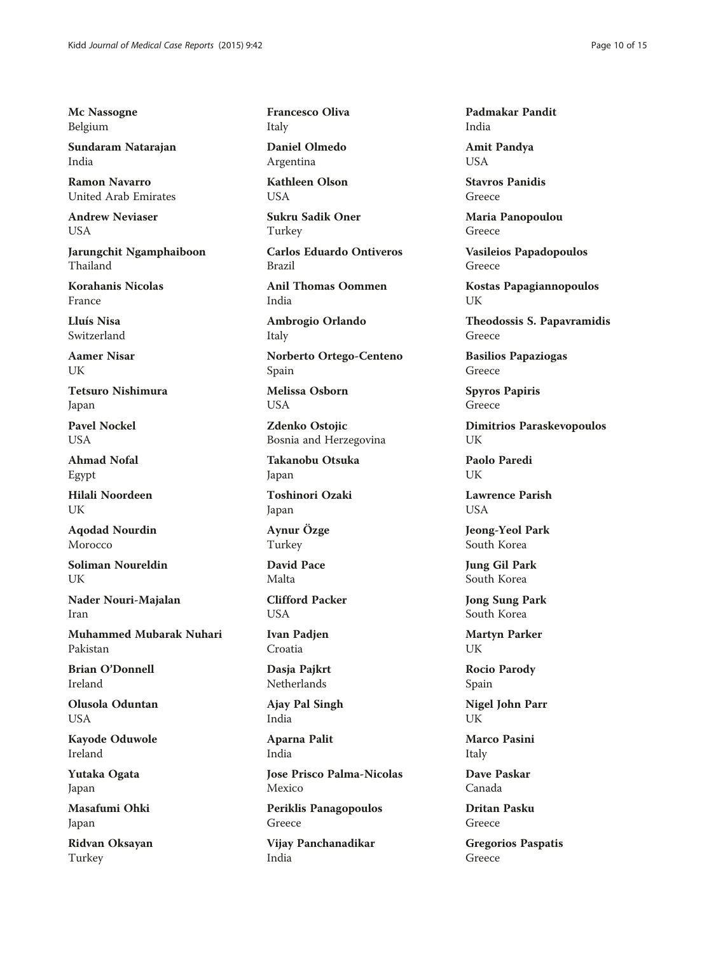Mc Nassogne Belgium

Sundaram Natarajan India

Ramon Navarro United Arab Emirates

Andrew Neviaser USA

Jarungchit Ngamphaiboon Thailand

Korahanis Nicolas France

Lluís Nisa Switzerland

Aamer Nisar UK

Tetsuro Nishimura Japan

Pavel Nockel **USA** 

Ahmad Nofal Egypt

Hilali Noordeen **I** IK

Aqodad Nourdin Morocco

Soliman Noureldin UK

Nader Nouri-Majalan Iran

Muhammed Mubarak Nuhari Pakistan

Brian O'Donnell Ireland

Olusola Oduntan USA

Kayode Oduwole Ireland

Yutaka Ogata Japan

Masafumi Ohki Japan

Ridvan Oksayan Turkey

Francesco Oliva Italy

Daniel Olmedo Argentina

Kathleen Olson **USA** 

Sukru Sadik Oner Turkey

Carlos Eduardo Ontiveros Brazil

Anil Thomas Oommen India

Ambrogio Orlando Italy

Norberto Ortego-Centeno Spain

Melissa Osborn USA

Zdenko Ostojic Bosnia and Herzegovina

Takanobu Otsuka Japan

Toshinori Ozaki Japan

Aynur Özge Turkey

David Pace Malta

Clifford Packer **USA** 

Ivan Padjen Croatia

Dasja Pajkrt **Netherlands** 

Ajay Pal Singh India

Aparna Palit India

Jose Prisco Palma-Nicolas Mexico

Periklis Panagopoulos Greece

Vijay Panchanadikar India

Padmakar Pandit India

Amit Pandya USA

Stavros Panidis Greece

Maria Panopoulou Greece

Vasileios Papadopoulos Greece

Kostas Papagiannopoulos UK

Theodossis S. Papavramidis Greece

Basilios Papaziogas Greece

Spyros Papiris Greece

Dimitrios Paraskevopoulos UK

Paolo Paredi UK

Lawrence Parish **USA** 

Jeong-Yeol Park South Korea

Jung Gil Park South Korea

Jong Sung Park South Korea

Martyn Parker UK

Rocio Parody Spain

Nigel John Parr UK

Marco Pasini Italy

Dave Paskar Canada

Dritan Pasku Greece

Gregorios Paspatis Greece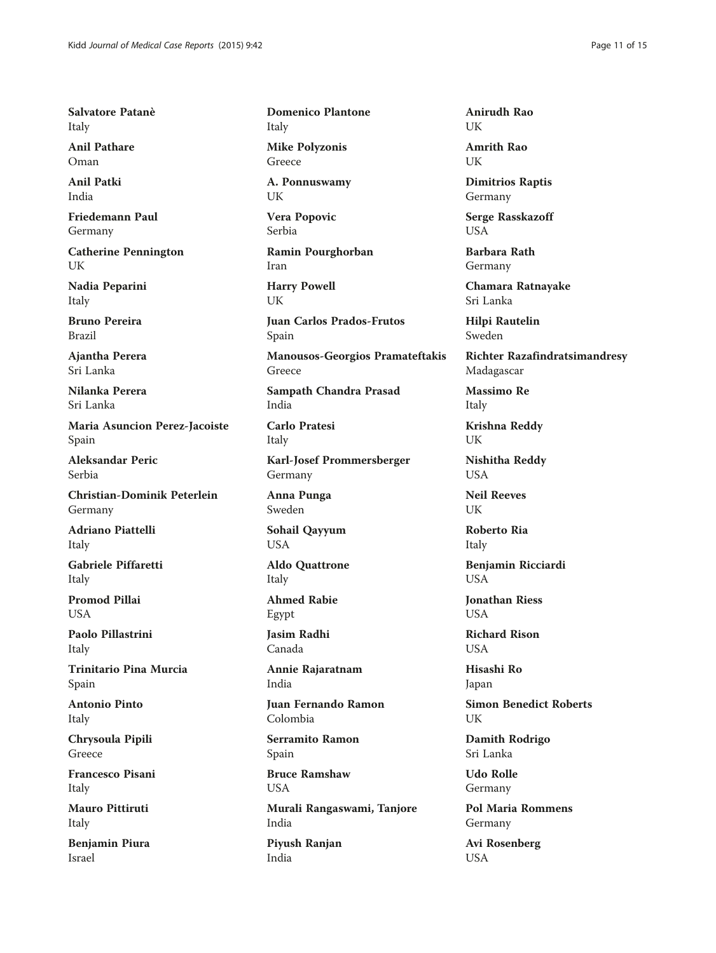Salvatore Patanè Italy

Anil Pathare Oman

Anil Patki India

Friedemann Paul Germany

Catherine Pennington UK

Nadia Peparini Italy

Bruno Pereira Brazil

Ajantha Perera Sri Lanka

Nilanka Perera Sri Lanka

Maria Asuncion Perez-Jacoiste Spain

Aleksandar Peric Serbia

Christian-Dominik Peterlein Germany

Adriano Piattelli Italy

Gabriele Piffaretti Italy

Promod Pillai **USA** 

Paolo Pillastrini Italy

Trinitario Pina Murcia Spain

Antonio Pinto Italy

Chrysoula Pipili Greece

Francesco Pisani Italy

Mauro Pittiruti Italy

Benjamin Piura Israel

Domenico Plantone Italy

Mike Polyzonis Greece

A. Ponnuswamy UK

Vera Popovic Serbia

Ramin Pourghorban Iran

Harry Powell UK

Juan Carlos Prados-Frutos Spain

Manousos-Georgios Pramateftakis Greece

Sampath Chandra Prasad India

Carlo Pratesi Italy

Karl-Josef Prommersberger Germany

Anna Punga Sweden

Sohail Qayyum USA

Aldo Quattrone Italy

Ahmed Rabie Egypt

Jasim Radhi Canada

Annie Rajaratnam India

Juan Fernando Ramon Colombia

Serramito Ramon Spain

Bruce Ramshaw USA

Murali Rangaswami, Tanjore India

Piyush Ranjan India

Anirudh Rao **I** IK

Amrith Rao **I**IK

Dimitrios Raptis Germany

Serge Rasskazoff USA

Barbara Rath Germany

Chamara Ratnayake Sri Lanka

Hilpi Rautelin Sweden

Richter Razafindratsimandresy Madagascar

Massimo Re Italy

Krishna Reddy UK

Nishitha Reddy USA

Neil Reeves UK

Roberto Ria Italy

Benjamin Ricciardi **USA** 

Jonathan Riess **USA** 

Richard Rison **USA** 

Hisashi Ro Japan

Simon Benedict Roberts **I** IK

Damith Rodrigo Sri Lanka

Udo Rolle Germany

Pol Maria Rommens Germany

Avi Rosenberg USA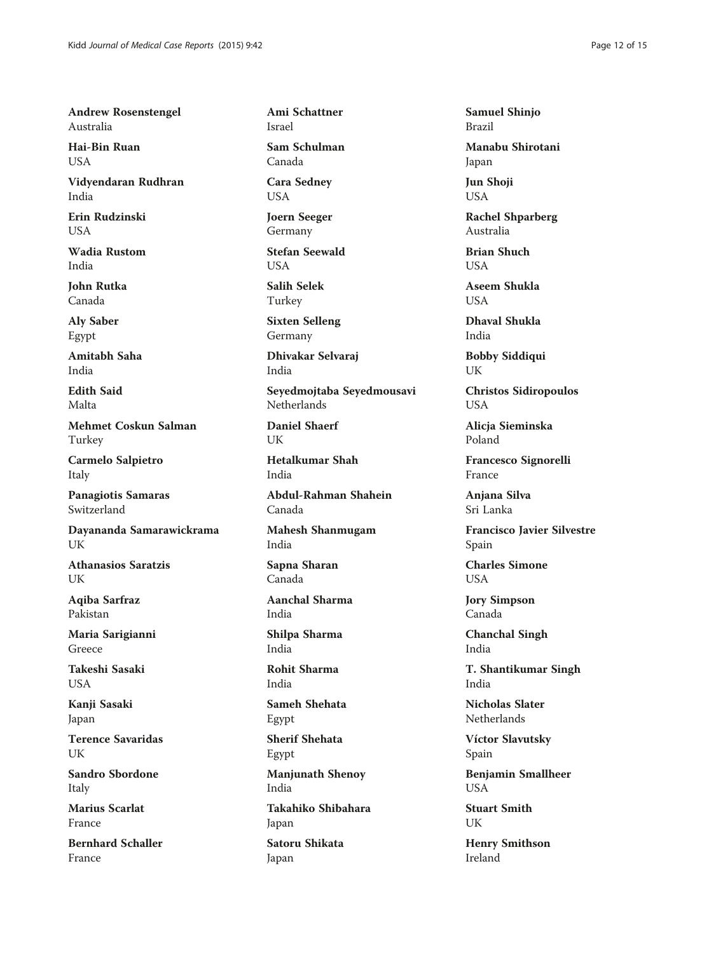Andrew Rosenstengel Australia

Hai-Bin Ruan USA

Vidyendaran Rudhran India

Erin Rudzinski USA

Wadia Rustom India

John Rutka Canada

Aly Saber Egypt

Amitabh Saha India

Edith Said Malta

Mehmet Coskun Salman Turkey

Carmelo Salpietro Italy

Panagiotis Samaras Switzerland

Dayananda Samarawickrama UK

Athanasios Saratzis UK

Aqiba Sarfraz Pakistan

Maria Sarigianni Greece

Takeshi Sasaki USA

Kanji Sasaki Japan

Terence Savaridas UK

Sandro Sbordone Italy

Marius Scarlat France

Bernhard Schaller France

Ami Schattner Israel

Sam Schulman Canada

Cara Sedney USA

Joern Seeger Germany

Stefan Seewald **USA** 

Salih Selek Turkey

Sixten Selleng Germany

Dhivakar Selvaraj India

Seyedmojtaba Seyedmousavi Netherlands

Daniel Shaerf UK

Hetalkumar Shah India

Abdul-Rahman Shahein Canada

Mahesh Shanmugam India

Sapna Sharan Canada

Aanchal Sharma India

Shilpa Sharma India

Rohit Sharma India

Sameh Shehata Egypt

Sherif Shehata Egypt

Manjunath Shenoy India

Takahiko Shibahara Japan

Satoru Shikata Japan

Samuel Shinjo Brazil

Manabu Shirotani Japan

Jun Shoji USA

Rachel Shparberg Australia

Brian Shuch **USA** 

Aseem Shukla **USA** 

Dhaval Shukla India

Bobby Siddiqui UK

Christos Sidiropoulos USA

Alicja Sieminska Poland

Francesco Signorelli France

Anjana Silva Sri Lanka

Francisco Javier Silvestre Spain

Charles Simone USA

Jory Simpson Canada

Chanchal Singh India

T. Shantikumar Singh India

Nicholas Slater Netherlands

Víctor Slavutsky Spain

Benjamin Smallheer USA

Stuart Smith **I**IK

Henry Smithson Ireland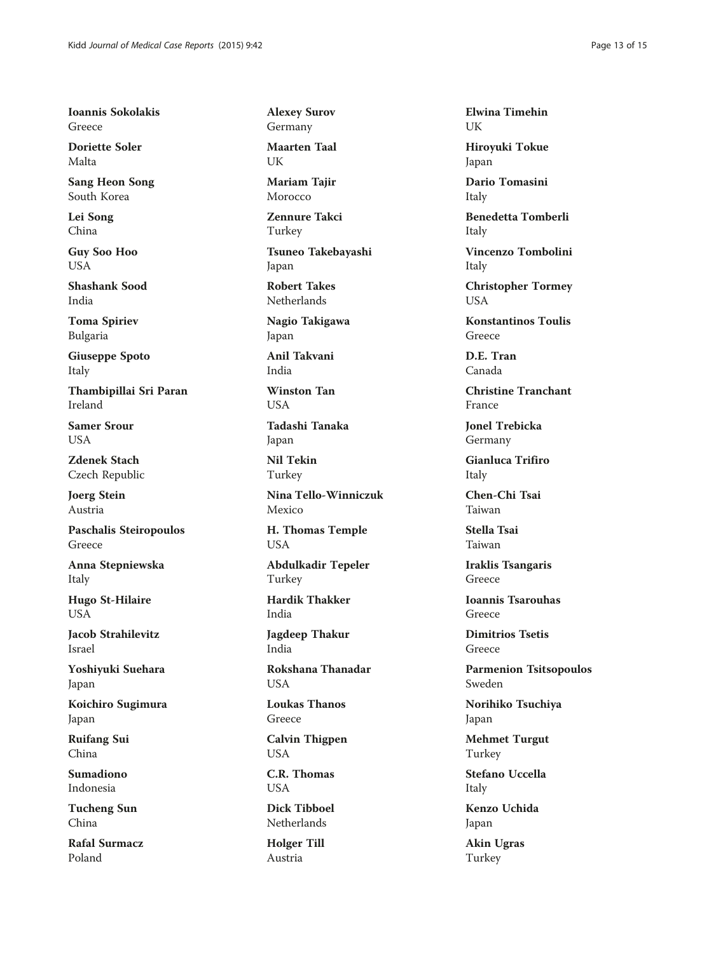Ioannis Sokolakis Greece

Doriette Soler Malta

Sang Heon Song South Korea

Lei Song China

Guy Soo Hoo USA

Shashank Sood India

Toma Spiriev Bulgaria

Giuseppe Spoto Italy

Thambipillai Sri Paran Ireland

Samer Srour **USA** 

Zdenek Stach Czech Republic

Joerg Stein Austria

Paschalis Steiropoulos Greece

Anna Stepniewska Italy

Hugo St-Hilaire **USA** 

Jacob Strahilevitz Israel

Yoshiyuki Suehara Japan

Koichiro Sugimura Japan

Ruifang Sui China

Sumadiono Indonesia

Tucheng Sun China

Rafal Surmacz Poland

Alexey Surov Germany

Maarten Taal UK

Mariam Tajir Morocco

Zennure Takci Turkey

Tsuneo Takebayashi Japan

Robert Takes Netherlands

Nagio Takigawa Japan

Anil Takvani India

Winston Tan USA

Tadashi Tanaka Japan

Nil Tekin Turkey

Nina Tello-Winniczuk Mexico

H. Thomas Temple USA

Abdulkadir Tepeler Turkey

Hardik Thakker India

Jagdeep Thakur India

Rokshana Thanadar USA

Loukas Thanos Greece

Calvin Thigpen USA

C.R. Thomas USA

Dick Tibboel Netherlands

Holger Till Austria

Elwina Timehin UK

Hiroyuki Tokue Japan

Dario Tomasini Italy

Benedetta Tomberli Italy

Vincenzo Tombolini Italy

Christopher Tormey USA

Konstantinos Toulis Greece

D.E. Tran Canada

Christine Tranchant France

Jonel Trebicka Germany

Gianluca Trifiro Italy

Chen-Chi Tsai Taiwan

Stella Tsai Taiwan

Iraklis Tsangaris Greece

Ioannis Tsarouhas Greece

Dimitrios Tsetis Greece

Parmenion Tsitsopoulos Sweden

Norihiko Tsuchiya Japan

Mehmet Turgut Turkey

Stefano Uccella Italy

Kenzo Uchida Japan

Akin Ugras Turkey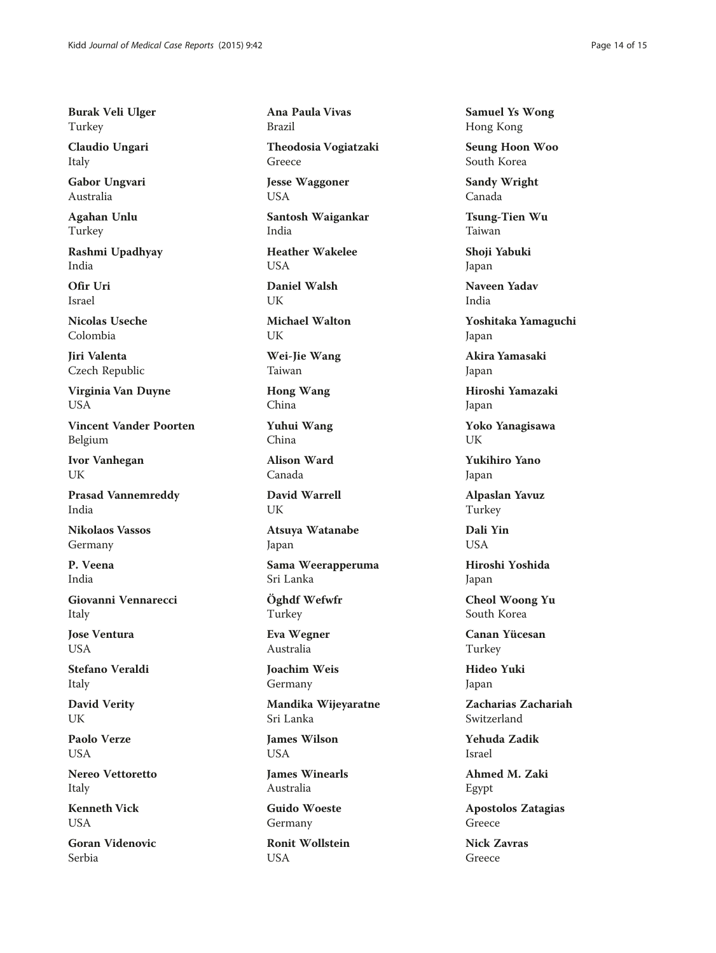Burak Veli Ulger Turkey

Claudio Ungari Italy

Gabor Ungvari Australia

Agahan Unlu Turkey

Rashmi Upadhyay India

Ofir Uri Israel

Nicolas Useche Colombia

Jiri Valenta Czech Republic

Virginia Van Duyne USA

Vincent Vander Poorten Belgium

Ivor Vanhegan UK

Prasad Vannemreddy India

Nikolaos Vassos Germany

P. Veena India

Giovanni Vennarecci Italy

Jose Ventura **USA** 

Stefano Veraldi Italy

David Verity UK

Paolo Verze USA

Nereo Vettoretto Italy

Kenneth Vick **USA** 

Goran Videnovic Serbia

Ana Paula Vivas Brazil

Theodosia Vogiatzaki Greece

Jesse Waggoner USA

Santosh Waigankar India

Heather Wakelee **USA** 

Daniel Walsh UK

Michael Walton UK

Wei-Jie Wang Taiwan

Hong Wang China

Yuhui Wang China

Alison Ward Canada

David Warrell UK

Atsuya Watanabe Japan

Sama Weerapperuma Sri Lanka

Öghdf Wefwfr Turkey

Eva Wegner Australia

Joachim Weis Germany

Mandika Wijeyaratne Sri Lanka

James Wilson USA

James Winearls Australia

Guido Woeste Germany

Ronit Wollstein USA

Samuel Ys Wong Hong Kong

Seung Hoon Woo South Korea

Sandy Wright Canada

Tsung-Tien Wu Taiwan

Shoji Yabuki Japan

Naveen Yadav India

Yoshitaka Yamaguchi Japan

Akira Yamasaki Japan

Hiroshi Yamazaki Japan

Yoko Yanagisawa UK

Yukihiro Yano Japan

Alpaslan Yavuz Turkey

Dali Yin **USA** 

Hiroshi Yoshida Japan

Cheol Woong Yu South Korea

Canan Yücesan Turkey

Hideo Yuki Japan

Zacharias Zachariah Switzerland

Yehuda Zadik Israel

Ahmed M. Zaki Egypt

Apostolos Zatagias Greece

Nick Zavras Greece